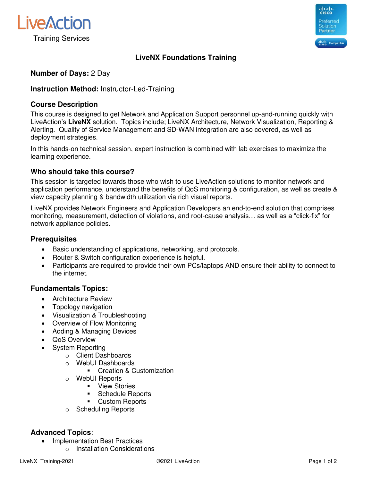



# **LiveNX Foundations Training**

## **Number of Days:** 2 Day

## **Instruction Method:** Instructor-Led-Training

## **Course Description**

This course is designed to get Network and Application Support personnel up-and-running quickly with LiveAction's **LiveNX** solution. Topics include; LiveNX Architecture, Network Visualization, Reporting & Alerting. Quality of Service Management and SD-WAN integration are also covered, as well as deployment strategies.

In this hands-on technical session, expert instruction is combined with lab exercises to maximize the learning experience.

## **Who should take this course?**

This session is targeted towards those who wish to use LiveAction solutions to monitor network and application performance, understand the benefits of QoS monitoring & configuration, as well as create & view capacity planning & bandwidth utilization via rich visual reports.

LiveNX provides Network Engineers and Application Developers an end-to-end solution that comprises monitoring, measurement, detection of violations, and root-cause analysis… as well as a "click-fix" for network appliance policies.

#### **Prerequisites**

- Basic understanding of applications, networking, and protocols.
- Router & Switch configuration experience is helpful.
- Participants are required to provide their own PCs/laptops AND ensure their ability to connect to the internet.

## **Fundamentals Topics:**

- Architecture Review
- Topology navigation
- Visualization & Troubleshooting
- Overview of Flow Monitoring
- Adding & Managing Devices
- QoS Overview
	- System Reporting
		- o Client Dashboards
		- o WebUI Dashboards
			- Creation & Customization
		- o WebUI Reports
			- View Stories
			- Schedule Reports
			- Custom Reports
		- o Scheduling Reports

## **Advanced Topics**:

- Implementation Best Practices
	- o Installation Considerations